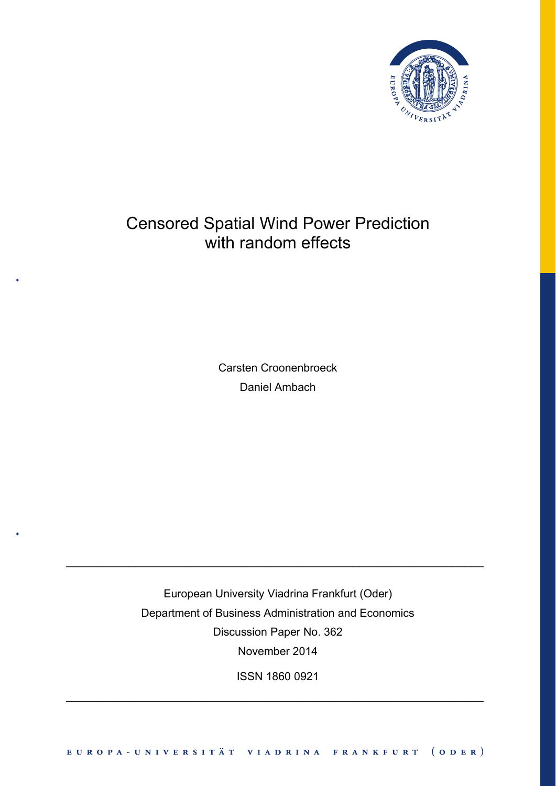

# Censored Spatial Wind Power Prediction with random effects

Carsten Croonenbroeck Daniel Ambach

European University Viadrina Frankfurt (Oder) Department of Business Administration and Economics Discussion Paper No. 362 November 2014

 $\_$  , and the set of the set of the set of the set of the set of the set of the set of the set of the set of the set of the set of the set of the set of the set of the set of the set of the set of the set of the set of th

ISSN 1860 0921

 $\_$  , and the contribution of the contribution of  $\mathcal{L}_\mathcal{A}$  , and the contribution of  $\mathcal{L}_\mathcal{A}$  , and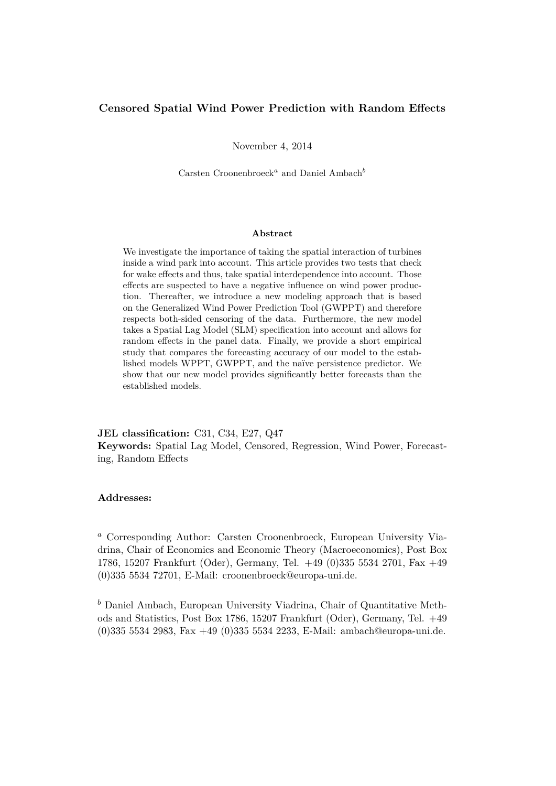### **Censored Spatial Wind Power Prediction with Random Effects**

November 4, 2014

Carsten Croonenbroeck*<sup>a</sup>* and Daniel Ambach*<sup>b</sup>*

#### **Abstract**

We investigate the importance of taking the spatial interaction of turbines inside a wind park into account. This article provides two tests that check for wake effects and thus, take spatial interdependence into account. Those effects are suspected to have a negative influence on wind power production. Thereafter, we introduce a new modeling approach that is based on the Generalized Wind Power Prediction Tool (GWPPT) and therefore respects both-sided censoring of the data. Furthermore, the new model takes a Spatial Lag Model (SLM) specification into account and allows for random effects in the panel data. Finally, we provide a short empirical study that compares the forecasting accuracy of our model to the established models WPPT, GWPPT, and the naïve persistence predictor. We show that our new model provides significantly better forecasts than the established models.

**JEL classification:** C31, C34, E27, Q47 **Keywords:** Spatial Lag Model, Censored, Regression, Wind Power, Forecasting, Random Effects

#### **Addresses:**

*<sup>a</sup>* Corresponding Author: Carsten Croonenbroeck, European University Viadrina, Chair of Economics and Economic Theory (Macroeconomics), Post Box 1786, 15207 Frankfurt (Oder), Germany, Tel. +49 (0)335 5534 2701, Fax +49 (0)335 5534 72701, E-Mail: croonenbroeck@europa-uni.de.

*<sup>b</sup>* Daniel Ambach, European University Viadrina, Chair of Quantitative Methods and Statistics, Post Box 1786, 15207 Frankfurt (Oder), Germany, Tel. +49 (0)335 5534 2983, Fax +49 (0)335 5534 2233, E-Mail: ambach@europa-uni.de.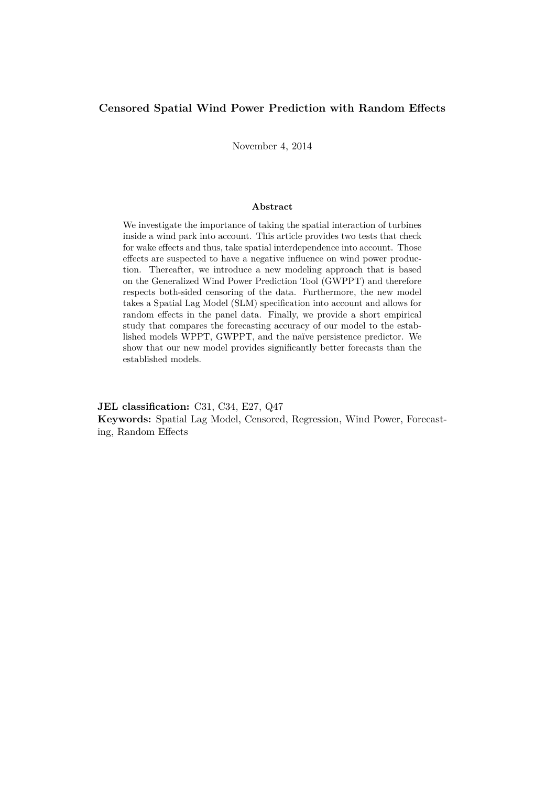### **Censored Spatial Wind Power Prediction with Random Effects**

November 4, 2014

#### **Abstract**

We investigate the importance of taking the spatial interaction of turbines inside a wind park into account. This article provides two tests that check for wake effects and thus, take spatial interdependence into account. Those effects are suspected to have a negative influence on wind power production. Thereafter, we introduce a new modeling approach that is based on the Generalized Wind Power Prediction Tool (GWPPT) and therefore respects both-sided censoring of the data. Furthermore, the new model takes a Spatial Lag Model (SLM) specification into account and allows for random effects in the panel data. Finally, we provide a short empirical study that compares the forecasting accuracy of our model to the established models WPPT, GWPPT, and the naïve persistence predictor. We show that our new model provides significantly better forecasts than the established models.

**JEL classification:** C31, C34, E27, Q47 **Keywords:** Spatial Lag Model, Censored, Regression, Wind Power, Forecasting, Random Effects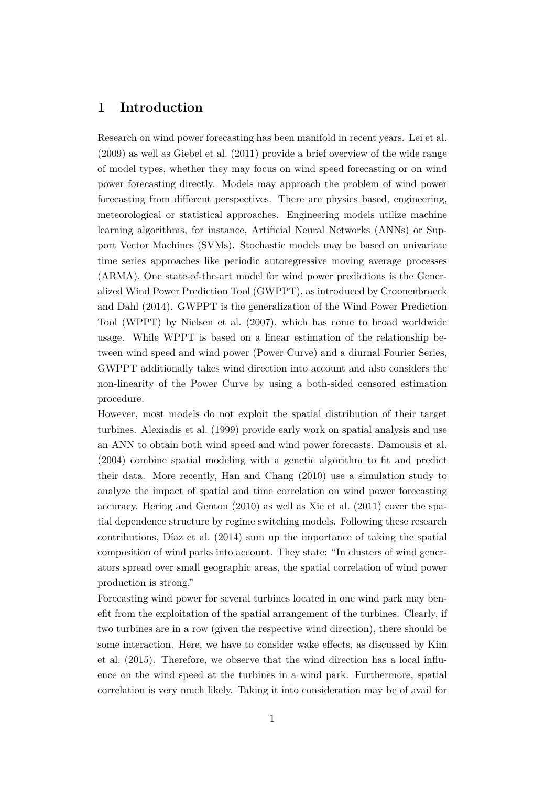### **1 Introduction**

Research on wind power forecasting has been manifold in recent years. Lei et al. (2009) as well as Giebel et al. (2011) provide a brief overview of the wide range of model types, whether they may focus on wind speed forecasting or on wind power forecasting directly. Models may approach the problem of wind power forecasting from different perspectives. There are physics based, engineering, meteorological or statistical approaches. Engineering models utilize machine learning algorithms, for instance, Artificial Neural Networks (ANNs) or Support Vector Machines (SVMs). Stochastic models may be based on univariate time series approaches like periodic autoregressive moving average processes (ARMA). One state-of-the-art model for wind power predictions is the Generalized Wind Power Prediction Tool (GWPPT), as introduced by Croonenbroeck and Dahl (2014). GWPPT is the generalization of the Wind Power Prediction Tool (WPPT) by Nielsen et al. (2007), which has come to broad worldwide usage. While WPPT is based on a linear estimation of the relationship between wind speed and wind power (Power Curve) and a diurnal Fourier Series, GWPPT additionally takes wind direction into account and also considers the non-linearity of the Power Curve by using a both-sided censored estimation procedure.

However, most models do not exploit the spatial distribution of their target turbines. Alexiadis et al. (1999) provide early work on spatial analysis and use an ANN to obtain both wind speed and wind power forecasts. Damousis et al. (2004) combine spatial modeling with a genetic algorithm to fit and predict their data. More recently, Han and Chang (2010) use a simulation study to analyze the impact of spatial and time correlation on wind power forecasting accuracy. Hering and Genton (2010) as well as Xie et al. (2011) cover the spatial dependence structure by regime switching models. Following these research contributions, Díaz et al. (2014) sum up the importance of taking the spatial composition of wind parks into account. They state: "In clusters of wind generators spread over small geographic areas, the spatial correlation of wind power production is strong."

Forecasting wind power for several turbines located in one wind park may benefit from the exploitation of the spatial arrangement of the turbines. Clearly, if two turbines are in a row (given the respective wind direction), there should be some interaction. Here, we have to consider wake effects, as discussed by Kim et al. (2015). Therefore, we observe that the wind direction has a local influence on the wind speed at the turbines in a wind park. Furthermore, spatial correlation is very much likely. Taking it into consideration may be of avail for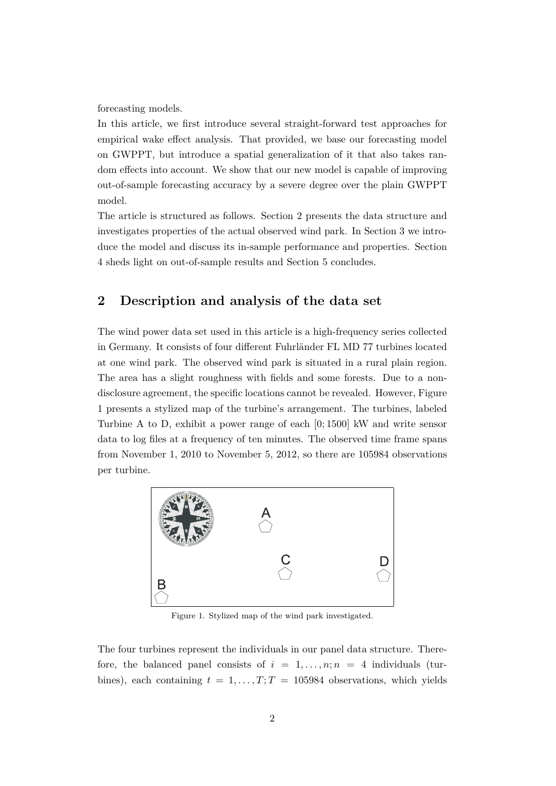forecasting models.

In this article, we first introduce several straight-forward test approaches for empirical wake effect analysis. That provided, we base our forecasting model on GWPPT, but introduce a spatial generalization of it that also takes random effects into account. We show that our new model is capable of improving out-of-sample forecasting accuracy by a severe degree over the plain GWPPT model.

The article is structured as follows. Section 2 presents the data structure and investigates properties of the actual observed wind park. In Section 3 we introduce the model and discuss its in-sample performance and properties. Section 4 sheds light on out-of-sample results and Section 5 concludes.

# **2 Description and analysis of the data set**

The wind power data set used in this article is a high-frequency series collected in Germany. It consists of four different Fuhrländer FL MD 77 turbines located at one wind park. The observed wind park is situated in a rural plain region. The area has a slight roughness with fields and some forests. Due to a nondisclosure agreement, the specific locations cannot be revealed. However, Figure 1 presents a stylized map of the turbine's arrangement. The turbines, labeled Turbine A to D, exhibit a power range of each [0; 1500] kW and write sensor data to log files at a frequency of ten minutes. The observed time frame spans from November 1, 2010 to November 5, 2012, so there are 105984 observations per turbine.



Figure 1. Stylized map of the wind park investigated.

The four turbines represent the individuals in our panel data structure. Therefore, the balanced panel consists of  $i = 1, \ldots, n; n = 4$  individuals (turbines), each containing  $t = 1, \ldots, T; T = 105984$  observations, which yields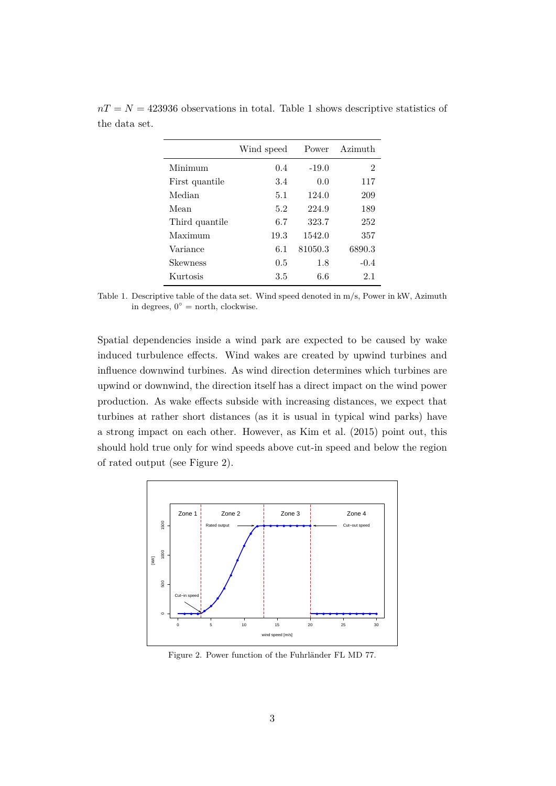|                 | Wind speed | Power   | Azimuth |
|-----------------|------------|---------|---------|
| Minimum         | 0.4        | $-19.0$ | 2       |
| First quantile  | 3.4        | 0.0     | 117     |
| Median          | 5.1        | 124.0   | 209     |
| Mean            | 5.2        | 224.9   | 189     |
| Third quantile  | 6.7        | 323.7   | 252     |
| Maximum         | 19.3       | 1542.0  | 357     |
| Variance        | 6.1        | 81050.3 | 6890.3  |
| <b>Skewness</b> | 0.5        | 1.8     | $-0.4$  |
| Kurtosis        | $3.5\,$    | 6.6     | 2.1     |

 $nT = N = 423936$  observations in total. Table 1 shows descriptive statistics of the data set.

Table 1. Descriptive table of the data set. Wind speed denoted in m/s, Power in kW, Azimuth in degrees,  $0° =$  north, clockwise.

Spatial dependencies inside a wind park are expected to be caused by wake induced turbulence effects. Wind wakes are created by upwind turbines and influence downwind turbines. As wind direction determines which turbines are upwind or downwind, the direction itself has a direct impact on the wind power production. As wake effects subside with increasing distances, we expect that turbines at rather short distances (as it is usual in typical wind parks) have a strong impact on each other. However, as Kim et al. (2015) point out, this should hold true only for wind speeds above cut-in speed and below the region of rated output (see Figure 2).



Figure 2. Power function of the Fuhrländer FL MD 77.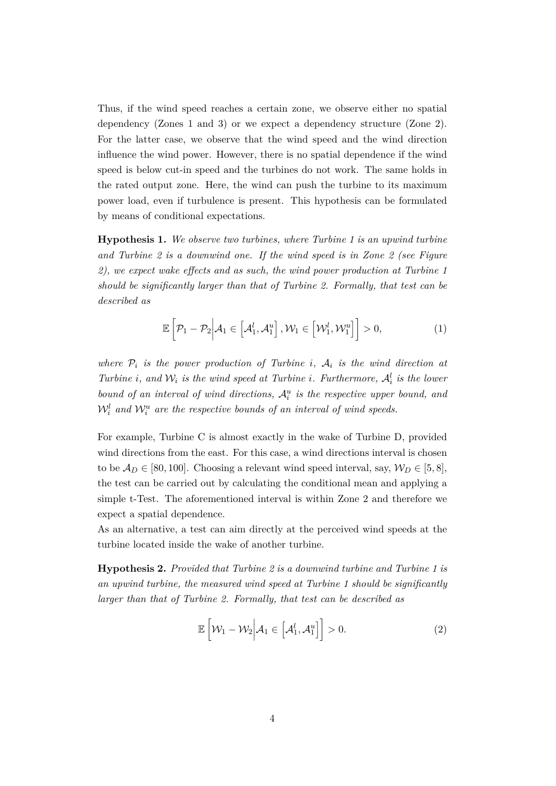Thus, if the wind speed reaches a certain zone, we observe either no spatial dependency (Zones 1 and 3) or we expect a dependency structure (Zone 2). For the latter case, we observe that the wind speed and the wind direction influence the wind power. However, there is no spatial dependence if the wind speed is below cut-in speed and the turbines do not work. The same holds in the rated output zone. Here, the wind can push the turbine to its maximum power load, even if turbulence is present. This hypothesis can be formulated by means of conditional expectations.

**Hypothesis 1.** *We observe two turbines, where Turbine 1 is an upwind turbine and Turbine 2 is a downwind one. If the wind speed is in Zone 2 (see Figure 2), we expect wake effects and as such, the wind power production at Turbine 1 should be significantly larger than that of Turbine 2. Formally, that test can be described as*

$$
\mathbb{E}\left[\mathcal{P}_1-\mathcal{P}_2\Big|\mathcal{A}_1\in\left[\mathcal{A}_1^l,\mathcal{A}_1^u\right],\mathcal{W}_1\in\left[\mathcal{W}_1^l,\mathcal{W}_1^u\right]\right]>0,
$$
\n(1)

*where*  $P_i$  *is the power production of Turbine i*,  $A_i$  *is the wind direction at Turbine i*, and  $W_i$  *is the wind speed at Turbine i. Furthermore,*  $A_i^l$  *is the lower bound of an interval of wind directions,* A*<sup>u</sup> i is the respective upper bound, and*  $\mathcal{W}_i^l$  and  $\mathcal{W}_i^u$  are the respective bounds of an interval of wind speeds.

For example, Turbine C is almost exactly in the wake of Turbine D, provided wind directions from the east. For this case, a wind directions interval is chosen to be  $A_D \in [80, 100]$ . Choosing a relevant wind speed interval, say,  $W_D \in [5, 8]$ , the test can be carried out by calculating the conditional mean and applying a simple t-Test. The aforementioned interval is within Zone 2 and therefore we expect a spatial dependence.

As an alternative, a test can aim directly at the perceived wind speeds at the turbine located inside the wake of another turbine.

**Hypothesis 2.** *Provided that Turbine 2 is a downwind turbine and Turbine 1 is an upwind turbine, the measured wind speed at Turbine 1 should be significantly larger than that of Turbine 2. Formally, that test can be described as*

$$
\mathbb{E}\left[\mathcal{W}_1 - \mathcal{W}_2 \middle| \mathcal{A}_1 \in \left[\mathcal{A}_1^l, \mathcal{A}_1^u\right]\right] > 0. \tag{2}
$$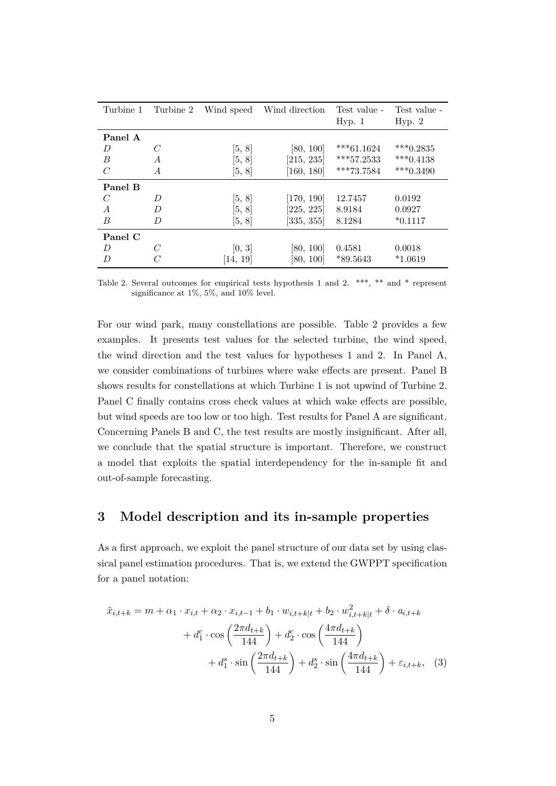| Turbine 1      | Turbine 2      | Wind speed | Wind direction | Test value -<br>Hyp. 1 | Test value -<br>Hyp. 2 |
|----------------|----------------|------------|----------------|------------------------|------------------------|
| Panel A        |                |            |                |                        |                        |
| D              | $\mathcal C$   | [5, 8]     | [80, 100]      | $***61.1624$           | $***0.2835$            |
| B              | $\overline{A}$ | [5, 8]     | [215, 235]     | $***57.2533$           | *** $0.4138$           |
| $\overline{C}$ | A              | [5, 8]     | [160, 180]     | ***73.7584             | $***0.3490$            |
| Panel B        |                |            |                |                        |                        |
| $\overline{C}$ | D              | [5, 8]     | [170, 190]     | 12.7457                | 0.0192                 |
| $\overline{A}$ | D              | [5, 8]     | [225, 225]     | 8.9184                 | 0.0927                 |
| B              | D              | [5, 8]     | [335, 355]     | 8.1284                 | $*0.1117$              |
| Panel C        |                |            |                |                        |                        |
| D              | C              | [0, 3]     | [80, 100]      | 0.4581                 | 0.0018                 |
| D              | C              | [14, 19]   | [80, 100]      | $*89.5643$             | $*1.0619$              |

Table 2. Several outcomes for empirical tests hypothesis 1 and 2. \*\*\*, \*\* and \* represent significance at 1%, 5%, and 10% level.

For our wind park, many constellations are possible. Table 2 provides a few examples. It presents test values for the selected turbine, the wind speed, the wind direction and the test values for hypotheses 1 and 2. In Panel A, we consider combinations of turbines where wake effects are present. Panel B shows results for constellations at which Turbine 1 is not upwind of Turbine 2. Panel C finally contains cross check values at which wake effects are possible, but wind speeds are too low or too high. Test results for Panel A are significant. Concerning Panels B and C, the test results are mostly insignificant. After all, we conclude that the spatial structure is important. Therefore, we construct a model that exploits the spatial interdependency for the in-sample fit and out-of-sample forecasting.

# **3 Model description and its in-sample properties**

As a first approach, we exploit the panel structure of our data set by using classical panel estimation procedures. That is, we extend the GWPPT specification for a panel notation:

$$
\hat{x}_{i,t+k} = m + \alpha_1 \cdot x_{i,t} + \alpha_2 \cdot x_{i,t-1} + b_1 \cdot w_{i,t+k|t} + b_2 \cdot w_{i,t+k|t}^2 + \delta \cdot a_{i,t+k} \n+ d_1^c \cdot \cos\left(\frac{2\pi d_{t+k}}{144}\right) + d_2^c \cdot \cos\left(\frac{4\pi d_{t+k}}{144}\right) \n+ d_1^s \cdot \sin\left(\frac{2\pi d_{t+k}}{144}\right) + d_2^s \cdot \sin\left(\frac{4\pi d_{t+k}}{144}\right) + \varepsilon_{i,t+k},
$$
 (3)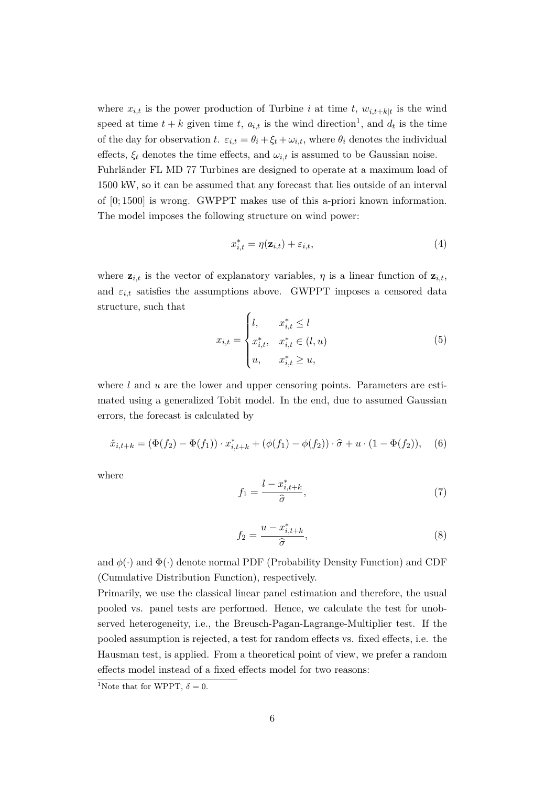where  $x_{i,t}$  is the power production of Turbine *i* at time *t*,  $w_{i,t+k|t}$  is the wind speed at time  $t + k$  given time  $t$ ,  $a_{i,t}$  is the wind direction<sup>1</sup>, and  $d_t$  is the time of the day for observation *t*.  $\varepsilon_{i,t} = \theta_i + \xi_t + \omega_{i,t}$ , where  $\theta_i$  denotes the individual effects,  $\xi_t$  denotes the time effects, and  $\omega_{i,t}$  is assumed to be Gaussian noise. Fuhrländer FL MD 77 Turbines are designed to operate at a maximum load of 1500 kW, so it can be assumed that any forecast that lies outside of an interval

of [0; 1500] is wrong. GWPPT makes use of this a-priori known information. The model imposes the following structure on wind power:

$$
x_{i,t}^* = \eta(\mathbf{z}_{i,t}) + \varepsilon_{i,t},\tag{4}
$$

where  $z_{i,t}$  is the vector of explanatory variables,  $\eta$  is a linear function of  $z_{i,t}$ , and  $\varepsilon_{i,t}$  satisfies the assumptions above. GWPPT imposes a censored data structure, such that

$$
x_{i,t} = \begin{cases} l, & x_{i,t}^* \le l \\ x_{i,t}^*, & x_{i,t}^* \in (l, u) \\ u, & x_{i,t}^* \ge u, \end{cases}
$$
 (5)

where *l* and *u* are the lower and upper censoring points. Parameters are estimated using a generalized Tobit model. In the end, due to assumed Gaussian errors, the forecast is calculated by

$$
\hat{x}_{i,t+k} = (\Phi(f_2) - \Phi(f_1)) \cdot x_{i,t+k}^* + (\phi(f_1) - \phi(f_2)) \cdot \hat{\sigma} + u \cdot (1 - \Phi(f_2)), \quad (6)
$$

where

$$
f_1 = \frac{l - x_{i,t+k}^*}{\hat{\sigma}},\tag{7}
$$

$$
f_2 = \frac{u - x_{i,t+k}^*}{\hat{\sigma}},\tag{8}
$$

and  $\phi(\cdot)$  and  $\Phi(\cdot)$  denote normal PDF (Probability Density Function) and CDF (Cumulative Distribution Function), respectively.

Primarily, we use the classical linear panel estimation and therefore, the usual pooled vs. panel tests are performed. Hence, we calculate the test for unobserved heterogeneity, i.e., the Breusch-Pagan-Lagrange-Multiplier test. If the pooled assumption is rejected, a test for random effects vs. fixed effects, i.e. the Hausman test, is applied. From a theoretical point of view, we prefer a random effects model instead of a fixed effects model for two reasons:

<sup>&</sup>lt;sup>1</sup>Note that for WPPT,  $\delta = 0$ .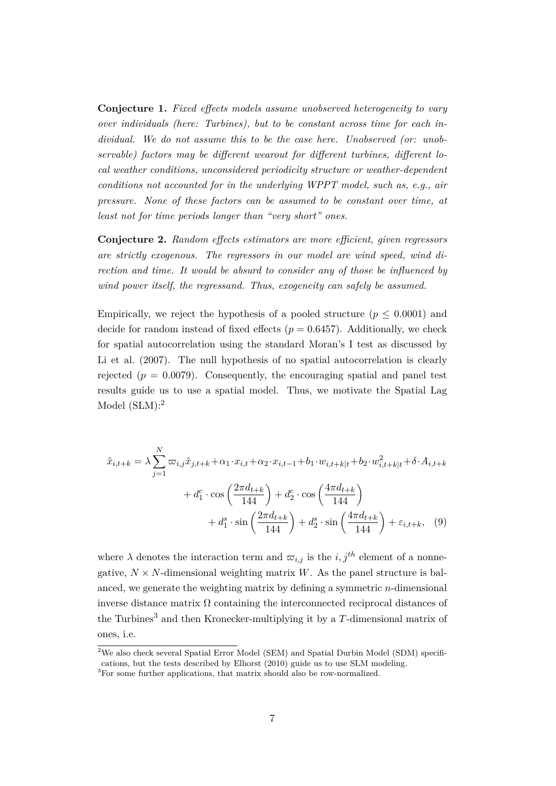**Conjecture 1.** *Fixed effects models assume unobserved heterogeneity to vary over individuals (here: Turbines), but to be constant across time for each individual. We do not assume this to be the case here. Unobserved (or: unobservable) factors may be different wearout for different turbines, different local weather conditions, unconsidered periodicity structure or weather-dependent conditions not accounted for in the underlying WPPT model, such as, e.g., air pressure. None of these factors can be assumed to be constant over time, at least not for time periods longer than "very short" ones.*

**Conjecture 2.** *Random effects estimators are more efficient, given regressors are strictly exogenous. The regressors in our model are wind speed, wind direction and time. It would be absurd to consider any of those be influenced by wind power itself, the regressand. Thus, exogeneity can safely be assumed.*

Empirically, we reject the hypothesis of a pooled structure ( $p \leq 0.0001$ ) and decide for random instead of fixed effects ( $p = 0.6457$ ). Additionally, we check for spatial autocorrelation using the standard Moran's I test as discussed by Li et al.  $(2007)$ . The null hypothesis of no spatial autocorrelation is clearly rejected  $(p = 0.0079)$ . Consequently, the encouraging spatial and panel test results guide us to use a spatial model. Thus, we motivate the Spatial Lag Model (SLM):<sup>2</sup>

$$
\hat{x}_{i,t+k} = \lambda \sum_{j=1}^{N} \varpi_{i,j} \hat{x}_{j,t+k} + \alpha_1 \cdot x_{i,t} + \alpha_2 \cdot x_{i,t-1} + b_1 \cdot w_{i,t+k|t} + b_2 \cdot w_{i,t+k|t}^2 + \delta \cdot A_{i,t+k} \n+ d_1^c \cdot \cos\left(\frac{2\pi d_{t+k}}{144}\right) + d_2^c \cdot \cos\left(\frac{4\pi d_{t+k}}{144}\right) \n+ d_1^s \cdot \sin\left(\frac{2\pi d_{t+k}}{144}\right) + d_2^s \cdot \sin\left(\frac{4\pi d_{t+k}}{144}\right) + \varepsilon_{i,t+k}, \quad (9)
$$

where  $\lambda$  denotes the interaction term and  $\overline{\omega}_{i,j}$  is the *i,j*<sup>th</sup> element of a nonnegative,  $N \times N$ -dimensional weighting matrix *W*. As the panel structure is balanced, we generate the weighting matrix by defining a symmetric *n*-dimensional inverse distance matrix  $\Omega$  containing the interconnected reciprocal distances of the Turbines<sup>3</sup> and then Kronecker-multiplying it by a T-dimensional matrix of ones, i.e.

<sup>&</sup>lt;sup>2</sup>We also check several Spatial Error Model (SEM) and Spatial Durbin Model (SDM) specifications, but the tests described by Elhorst (2010) guide us to use SLM modeling.

 ${}^{3}$ For some further applications, that matrix should also be row-normalized.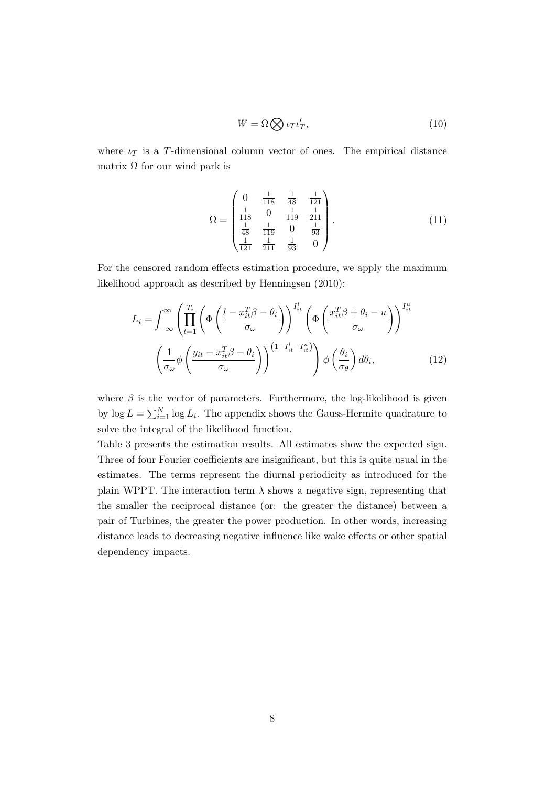$$
W = \Omega \bigotimes \iota_T \iota'_T,\tag{10}
$$

where  $\iota_T$  is a *T*-dimensional column vector of ones. The empirical distance matrix  $\Omega$  for our wind park is

$$
\Omega = \begin{pmatrix} 0 & \frac{1}{118} & \frac{1}{48} & \frac{1}{121} \\ \frac{1}{118} & 0 & \frac{1}{119} & \frac{1}{211} \\ \frac{1}{48} & \frac{1}{119} & 0 & \frac{1}{93} \\ \frac{1}{121} & \frac{1}{211} & \frac{1}{93} & 0 \end{pmatrix} . \tag{11}
$$

For the censored random effects estimation procedure, we apply the maximum likelihood approach as described by Henningsen (2010):

$$
L_{i} = \int_{-\infty}^{\infty} \left( \prod_{t=1}^{T_{i}} \left( \Phi \left( \frac{l - x_{it}^{T} \beta - \theta_{i}}{\sigma_{\omega}} \right) \right)^{I_{it}^{l}} \left( \Phi \left( \frac{x_{it}^{T} \beta + \theta_{i} - u}{\sigma_{\omega}} \right) \right)^{I_{it}^{u}}
$$

$$
\left( \frac{1}{\sigma_{\omega}} \phi \left( \frac{y_{it} - x_{it}^{T} \beta - \theta_{i}}{\sigma_{\omega}} \right) \right)^{(1 - I_{it}^{l} - I_{it}^{u})} \phi \left( \frac{\theta_{i}}{\sigma_{\theta}} \right) d\theta_{i}, \qquad (12)
$$

where  $\beta$  is the vector of parameters. Furthermore, the log-likelihood is given by  $\log L = \sum_{i=1}^{N} \log L_i$ . The appendix shows the Gauss-Hermite quadrature to solve the integral of the likelihood function.

Table 3 presents the estimation results. All estimates show the expected sign. Three of four Fourier coefficients are insignificant, but this is quite usual in the estimates. The terms represent the diurnal periodicity as introduced for the plain WPPT. The interaction term  $\lambda$  shows a negative sign, representing that the smaller the reciprocal distance (or: the greater the distance) between a pair of Turbines, the greater the power production. In other words, increasing distance leads to decreasing negative influence like wake effects or other spatial dependency impacts.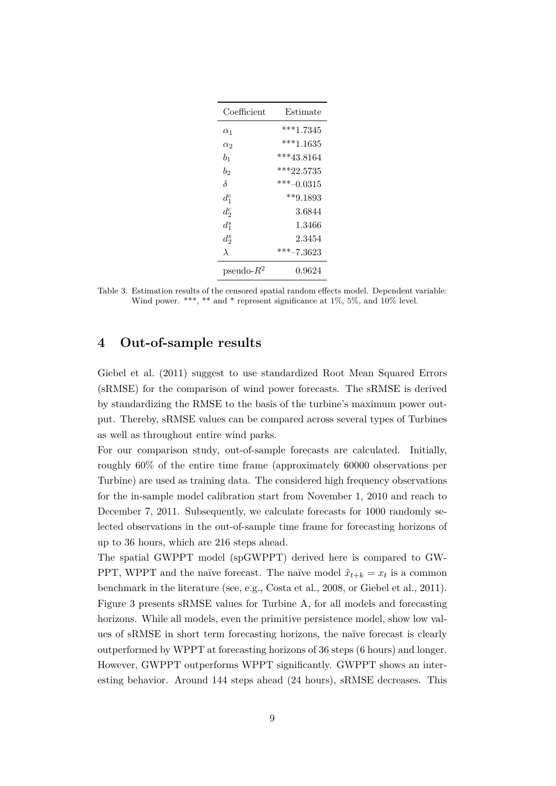| Coefficient   | Estimate     |
|---------------|--------------|
| $\alpha_1$    | $***1.7345$  |
| $\alpha_2$    | $***1.1635$  |
| $b_1$         | $***43.8164$ |
| b,            | $***22.5735$ |
| δ             | $***-0.0315$ |
| $d_1^c$       | $**9.1893$   |
| $d_2^c$       | 3.6844       |
| $d_1^s$       | 1.3466       |
| $d_2^s$       | 2.3454       |
| $\lambda$     | ***-7.3623   |
| pseudo- $R^2$ | 0.9624       |

Table 3. Estimation results of the censored spatial random effects model. Dependent variable: Wind power. \*\*\*, \*\* and \* represent significance at  $1\%$ , 5%, and  $10\%$  level.

### **4 Out-of-sample results**

Giebel et al. (2011) suggest to use standardized Root Mean Squared Errors (sRMSE) for the comparison of wind power forecasts. The sRMSE is derived by standardizing the RMSE to the basis of the turbine's maximum power output. Thereby, sRMSE values can be compared across several types of Turbines as well as throughout entire wind parks.

For our comparison study, out-of-sample forecasts are calculated. Initially, roughly 60% of the entire time frame (approximately 60000 observations per Turbine) are used as training data. The considered high frequency observations for the in-sample model calibration start from November 1, 2010 and reach to December 7, 2011. Subsequently, we calculate forecasts for 1000 randomly selected observations in the out-of-sample time frame for forecasting horizons of up to 36 hours, which are 216 steps ahead.

The spatial GWPPT model (spGWPPT) derived here is compared to GW-PPT, WPPT and the naïve forecast. The naïve model  $\hat{x}_{t+k} = x_t$  is a common benchmark in the literature (see, e.g., Costa et al., 2008, or Giebel et al., 2011). Figure 3 presents sRMSE values for Turbine A, for all models and forecasting horizons. While all models, even the primitive persistence model, show low values of sRMSE in short term forecasting horizons, the naïve forecast is clearly outperformed by WPPT at forecasting horizons of 36 steps (6 hours) and longer. However, GWPPT outperforms WPPT significantly. GWPPT shows an interesting behavior. Around 144 steps ahead (24 hours), sRMSE decreases. This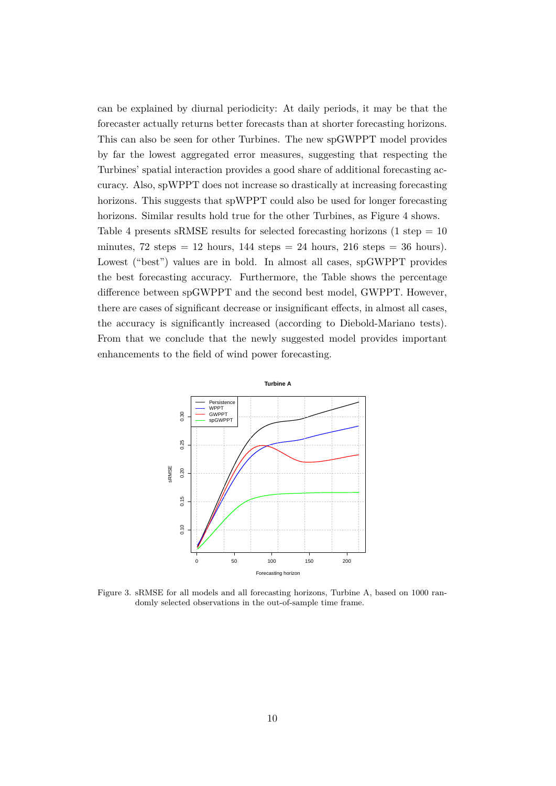can be explained by diurnal periodicity: At daily periods, it may be that the forecaster actually returns better forecasts than at shorter forecasting horizons. This can also be seen for other Turbines. The new spGWPPT model provides by far the lowest aggregated error measures, suggesting that respecting the Turbines' spatial interaction provides a good share of additional forecasting accuracy. Also, spWPPT does not increase so drastically at increasing forecasting horizons. This suggests that spWPPT could also be used for longer forecasting horizons. Similar results hold true for the other Turbines, as Figure 4 shows. Table 4 presents sRMSE results for selected forecasting horizons  $(1 \text{ step} = 10$ minutes,  $72$  steps = 12 hours,  $144$  steps = 24 hours,  $216$  steps = 36 hours). Lowest ("best") values are in bold. In almost all cases, spGWPPT provides the best forecasting accuracy. Furthermore, the Table shows the percentage difference between spGWPPT and the second best model, GWPPT. However, there are cases of significant decrease or insignificant effects, in almost all cases, the accuracy is significantly increased (according to Diebold-Mariano tests). From that we conclude that the newly suggested model provides important enhancements to the field of wind power forecasting.



Figure 3. sRMSE for all models and all forecasting horizons, Turbine A, based on 1000 randomly selected observations in the out-of-sample time frame.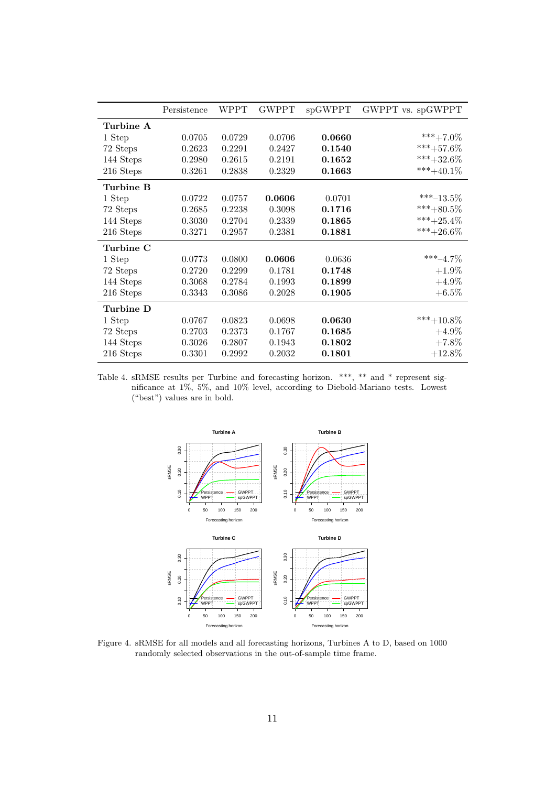|           | Persistence | WPPT   | <b>GWPPT</b> | spGWPPT | GWPPT vs. spGWPPT |
|-----------|-------------|--------|--------------|---------|-------------------|
| Turbine A |             |        |              |         |                   |
| 1 Step    | 0.0705      | 0.0729 | 0.0706       | 0.0660  | ***+7.0\%         |
| 72 Steps  | 0.2623      | 0.2291 | 0.2427       | 0.1540  | $***+57.6\%$      |
| 144 Steps | 0.2980      | 0.2615 | 0.2191       | 0.1652  | $***+32.6\%$      |
| 216 Steps | 0.3261      | 0.2838 | 0.2329       | 0.1663  | ***+40.1\%        |
| Turbine B |             |        |              |         |                   |
| 1 Step    | 0.0722      | 0.0757 | 0.0606       | 0.0701  | ***-13.5%         |
| 72 Steps  | 0.2685      | 0.2238 | 0.3098       | 0.1716  | ***+80.5%         |
| 144 Steps | 0.3030      | 0.2704 | 0.2339       | 0.1865  | ***+25.4%         |
| 216 Steps | 0.3271      | 0.2957 | 0.2381       | 0.1881  | $***+26.6\%$      |
| Turbine C |             |        |              |         |                   |
| 1 Step    | 0.0773      | 0.0800 | 0.0606       | 0.0636  | $***-4.7\%$       |
| 72 Steps  | 0.2720      | 0.2299 | 0.1781       | 0.1748  | $+1.9\%$          |
| 144 Steps | 0.3068      | 0.2784 | 0.1993       | 0.1899  | $+4.9\%$          |
| 216 Steps | 0.3343      | 0.3086 | 0.2028       | 0.1905  | $+6.5\%$          |
| Turbine D |             |        |              |         |                   |
| 1 Step    | 0.0767      | 0.0823 | 0.0698       | 0.0630  | $***+10.8\%$      |
| 72 Steps  | 0.2703      | 0.2373 | 0.1767       | 0.1685  | $+4.9\%$          |
| 144 Steps | 0.3026      | 0.2807 | 0.1943       | 0.1802  | $+7.8\%$          |
| 216 Steps | 0.3301      | 0.2992 | 0.2032       | 0.1801  | $+12.8\%$         |

Table 4. sRMSE results per Turbine and forecasting horizon. \*\*\*, \*\* and \* represent significance at 1%, 5%, and 10% level, according to Diebold-Mariano tests. Lowest ("best") values are in bold.



Figure 4. sRMSE for all models and all forecasting horizons, Turbines A to D, based on 1000 randomly selected observations in the out-of-sample time frame.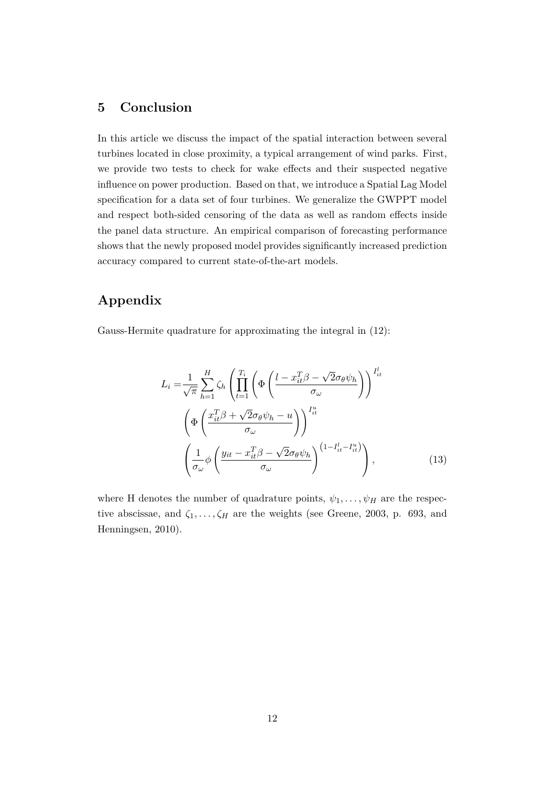## **5 Conclusion**

In this article we discuss the impact of the spatial interaction between several turbines located in close proximity, a typical arrangement of wind parks. First, we provide two tests to check for wake effects and their suspected negative influence on power production. Based on that, we introduce a Spatial Lag Model specification for a data set of four turbines. We generalize the GWPPT model and respect both-sided censoring of the data as well as random effects inside the panel data structure. An empirical comparison of forecasting performance shows that the newly proposed model provides significantly increased prediction accuracy compared to current state-of-the-art models.

# **Appendix**

Gauss-Hermite quadrature for approximating the integral in (12):

$$
L_{i} = \frac{1}{\sqrt{\pi}} \sum_{h=1}^{H} \zeta_{h} \left( \prod_{t=1}^{T_{i}} \left( \Phi \left( \frac{l - x_{it}^{T} \beta - \sqrt{2} \sigma_{\theta} \psi_{h}}{\sigma_{\omega}} \right) \right)^{I_{it}^{l}} \right)
$$

$$
\left( \Phi \left( \frac{x_{it}^{T} \beta + \sqrt{2} \sigma_{\theta} \psi_{h} - u}{\sigma_{\omega}} \right) \right)^{I_{it}^{u}}
$$

$$
\left( \frac{1}{\sigma_{\omega}} \phi \left( \frac{y_{it} - x_{it}^{T} \beta - \sqrt{2} \sigma_{\theta} \psi_{h}}{\sigma_{\omega}} \right)^{(1 - I_{it}^{l} - I_{it}^{u})} \right), \qquad (13)
$$

where H denotes the number of quadrature points,  $\psi_1, \ldots, \psi_H$  are the respective abscissae, and  $\zeta_1, \ldots, \zeta_H$  are the weights (see Greene, 2003, p. 693, and Henningsen, 2010).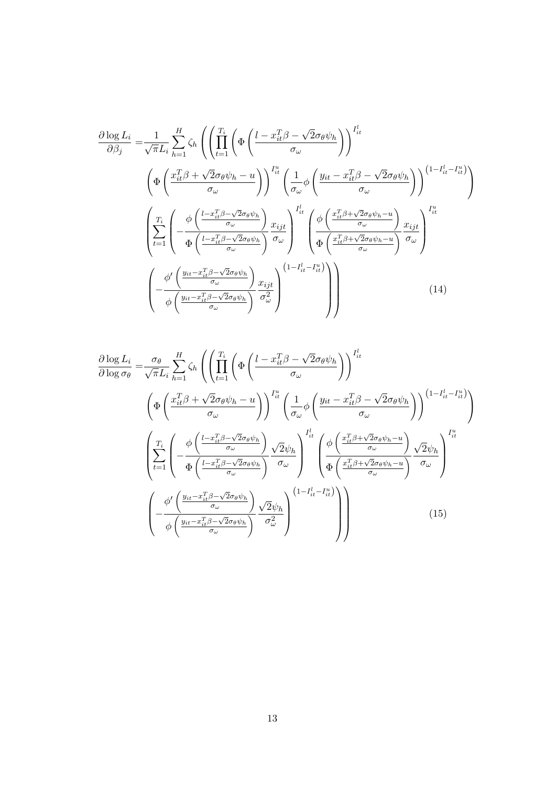$$
\frac{\partial \log L_{i}}{\partial \beta_{j}} = \frac{1}{\sqrt{\pi L_{i}}} \sum_{h=1}^{H} \zeta_{h} \left( \left( \prod_{t=1}^{T_{i}} \left( \Phi \left( \frac{l - x_{it}^{T} \beta - \sqrt{2} \sigma_{\theta} \psi_{h}}{\sigma_{\omega}} \right) \right)^{I_{it}^{l}} \right) \right)^{I_{it}^{l}} \left( \Phi \left( \frac{x_{it}^{T} \beta + \sqrt{2} \sigma_{\theta} \psi_{h} - u}{\sigma_{\omega}} \right) \right)^{I_{it}^{u}} \left( \frac{1}{\sigma_{\omega}} \phi \left( \frac{y_{it} - x_{it}^{T} \beta - \sqrt{2} \sigma_{\theta} \psi_{h}}{\sigma_{\omega}} \right) \right)^{(1 - I_{it}^{l} - I_{it}^{u})} \right)
$$
\n
$$
\left( \sum_{t=1}^{T_{i}} \left( -\frac{\phi \left( \frac{l - x_{it}^{T} \beta - \sqrt{2} \sigma_{\theta} \psi_{h}}{\sigma_{\omega}} \right)}{\Phi \left( \frac{y_{it}^{T} \beta + \sqrt{2} \sigma_{\theta} \psi_{h} - u}{\sigma_{\omega}} \right)} \frac{x_{ijt}}{\sigma_{\omega}} \right)^{I_{it}^{l}} \left( \frac{\phi \left( \frac{x_{it}^{T} \beta + \sqrt{2} \sigma_{\theta} \psi_{h} - u}{\sigma_{\omega}} \right)}{\Phi \left( \frac{x_{it}^{T} \beta + \sqrt{2} \sigma_{\theta} \psi_{h} - u}{\sigma_{\omega}} \right)} \frac{x_{ijt}}{\sigma_{\omega}} \right)^{I_{it}^{u}}
$$
\n
$$
\left( -\frac{\phi' \left( \frac{y_{it} - x_{it}^{T} \beta - \sqrt{2} \sigma_{\theta} \psi_{h}}{\sigma_{\omega}} \right)}{\phi \left( \frac{y_{it} - x_{it}^{T} \beta - \sqrt{2} \sigma_{\theta} \psi_{h}}{\sigma_{\omega}} \right)} \frac{x_{ijt}}{\sigma_{\omega}^{2}} \right) \left( 14 \right)
$$
\n(14)

$$
\frac{\partial \log L_{i}}{\partial \log \sigma_{\theta}} = \frac{\sigma_{\theta}}{\sqrt{\pi}L_{i}} \sum_{h=1}^{H} \zeta_{h} \left( \left( \prod_{t=1}^{T_{i}} \left( \Phi \left( \frac{l - x_{it}^{T} \beta - \sqrt{2} \sigma_{\theta} \psi_{h}}{\sigma_{\omega}} \right) \right)^{I_{it}^{l}} \right) \right)^{I_{it}^{l}} \left( \frac{1}{\sigma_{\omega}} \phi \left( \frac{y_{it} - x_{it}^{T} \beta - \sqrt{2} \sigma_{\theta} \psi_{h}}{\sigma_{\omega}} \right) \right)^{(1 - I_{it}^{l} - I_{it}^{u})} \right)
$$
\n
$$
\left( \sum_{t=1}^{T_{i}} \left( -\frac{\phi \left( \frac{l - x_{it}^{T} \beta - \sqrt{2} \sigma_{\theta} \psi_{h}}{\sigma_{\omega}} \right)}{\Phi \left( \frac{l - x_{it}^{T} \beta - \sqrt{2} \sigma_{\theta} \psi_{h}}{\sigma_{\omega}} \right)} \right)^{(1 - I_{it}^{l} - I_{it}^{u})} \right)
$$
\n
$$
\left( \sum_{t=1}^{T_{i}} \left( -\frac{\phi \left( \frac{l - x_{it}^{T} \beta - \sqrt{2} \sigma_{\theta} \psi_{h}}{\sigma_{\omega}} \right)}{\Phi \left( \frac{l - x_{it}^{T} \beta - \sqrt{2} \sigma_{\theta} \psi_{h}}{\sigma_{\omega}} \right)} \right)^{T_{it}^{l}} \left( \frac{\phi \left( \frac{x_{it}^{T} \beta + \sqrt{2} \sigma_{\theta} \psi_{h} - u}{\sigma_{\omega}} \right)}{\Phi \left( \frac{x_{it}^{T} \beta + \sqrt{2} \sigma_{\theta} \psi_{h} - u}{\sigma_{\omega}} \right)} \right)^{T_{it}^{u}} \right)
$$
\n
$$
\left( -\frac{\phi' \left( \frac{y_{it} - x_{it}^{T} \beta - \sqrt{2} \sigma_{\theta} \psi_{h}}{\sigma_{\omega}} \right)}{\phi \left( \frac{y_{it} - x_{it}^{T} \beta - \sqrt{2} \sigma_{\theta} \psi_{h}}{\sigma_{\omega}} \right)} \frac{\sqrt{2} \psi_{h}}{\sigma_{\omega}^{2}} \right) \tag{15}
$$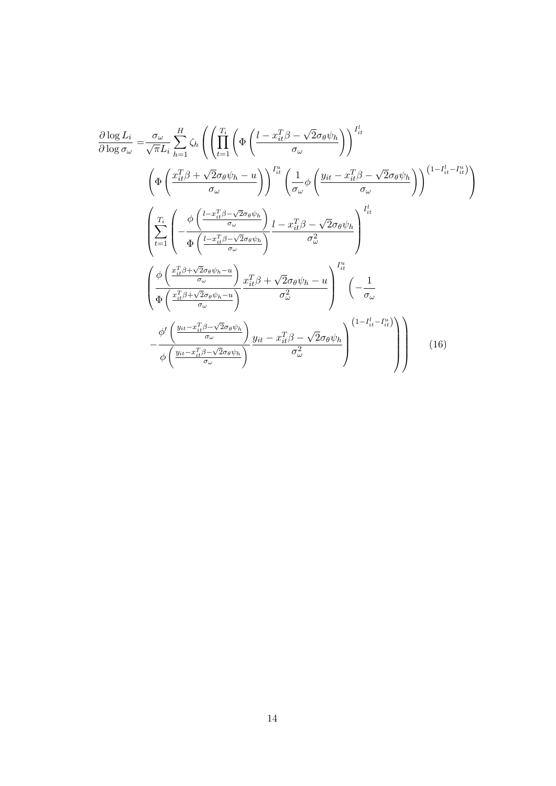$$
\frac{\partial \log L_{i}}{\partial \log \sigma_{\omega}} = \frac{\sigma_{\omega}}{\sqrt{\pi L_{i}}} \sum_{h=1}^{H} \zeta_{h} \left( \left( \prod_{t=1}^{T_{i}} \left( \Phi \left( \frac{l - x_{it}^{T} \beta - \sqrt{2} \sigma_{\theta} \psi_{h}}{\sigma_{\omega}} \right) \right)^{I_{it}^{l}} \right) \right)
$$
\n
$$
\left( \Phi \left( \frac{x_{it}^{T} \beta + \sqrt{2} \sigma_{\theta} \psi_{h} - u}{\sigma_{\omega}} \right) \right)^{I_{it}^{u}} \left( \frac{1}{\sigma_{\omega}} \phi \left( \frac{y_{it} - x_{it}^{T} \beta - \sqrt{2} \sigma_{\theta} \psi_{h}}{\sigma_{\omega}} \right) \right)^{(1 - I_{it}^{l} - I_{it}^{u})} \right)
$$
\n
$$
\left( \sum_{t=1}^{T_{i}} \left( -\frac{\phi \left( \frac{l - x_{it}^{T} \beta - \sqrt{2} \sigma_{\theta} \psi_{h}}{\sigma_{\omega}} \right)}{\Phi \left( \frac{l - x_{it}^{T} \beta - \sqrt{2} \sigma_{\theta} \psi_{h}}{\sigma_{\omega}} \right)} \right)^{I_{it}^{l}} \right)
$$
\n
$$
\left( \frac{\phi \left( \frac{x_{it}^{T} \beta + \sqrt{2} \sigma_{\theta} \psi_{h} - u}{\sigma_{\omega}} \right)}{\Phi \left( \frac{x_{it}^{T} \beta + \sqrt{2} \sigma_{\theta} \psi_{h} - u}{\sigma_{\omega}} \right)} \right)^{I_{it}^{u}} \left( -\frac{1}{\sigma_{\omega}} \right)
$$
\n
$$
- \frac{\phi' \left( \frac{y_{it} - x_{it}^{T} \beta - \sqrt{2} \sigma_{\theta} \psi_{h}}{\sigma_{\omega}} \right)}{\phi \left( \frac{y_{it} - x_{it}^{T} \beta - \sqrt{2} \sigma_{\theta} \psi_{h}}{\sigma_{\omega}} \right)} \frac{y_{it} - x_{it}^{T} \beta - \sqrt{2} \sigma_{\theta} \psi_{h}}{\sigma_{\omega}^{2}} \right) \left( 1 - I_{it}^{l} - I_{it}^{u} \right)}
$$
\n(16)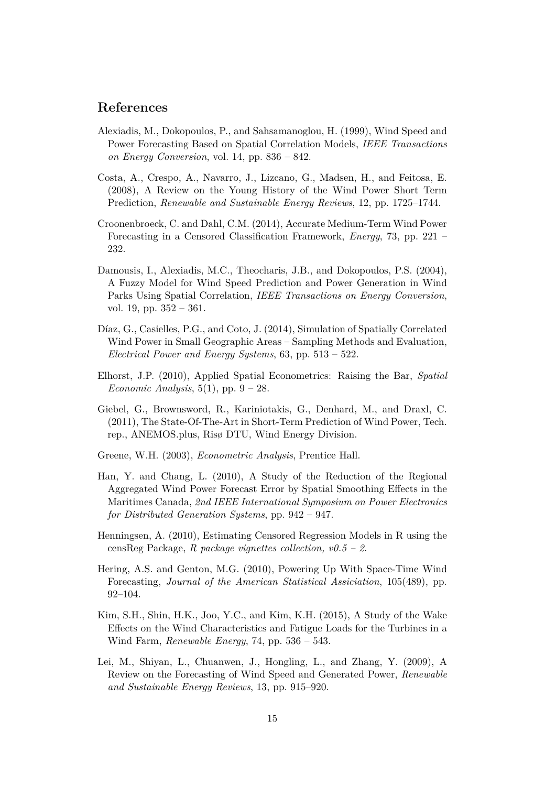### **References**

- Alexiadis, M., Dokopoulos, P., and Sahsamanoglou, H. (1999), Wind Speed and Power Forecasting Based on Spatial Correlation Models, *IEEE Transactions on Energy Conversion*, vol. 14, pp. 836 – 842.
- Costa, A., Crespo, A., Navarro, J., Lizcano, G., Madsen, H., and Feitosa, E. (2008), A Review on the Young History of the Wind Power Short Term Prediction, *Renewable and Sustainable Energy Reviews*, 12, pp. 1725–1744.
- Croonenbroeck, C. and Dahl, C.M. (2014), Accurate Medium-Term Wind Power Forecasting in a Censored Classification Framework, *Energy*, 73, pp. 221 – 232.
- Damousis, I., Alexiadis, M.C., Theocharis, J.B., and Dokopoulos, P.S. (2004), A Fuzzy Model for Wind Speed Prediction and Power Generation in Wind Parks Using Spatial Correlation, *IEEE Transactions on Energy Conversion*, vol. 19, pp. 352 – 361.
- Díaz, G., Casielles, P.G., and Coto, J. (2014), Simulation of Spatially Correlated Wind Power in Small Geographic Areas – Sampling Methods and Evaluation, *Electrical Power and Energy Systems*, 63, pp. 513 – 522.
- Elhorst, J.P. (2010), Applied Spatial Econometrics: Raising the Bar, *Spatial Economic Analysis*, 5(1), pp. 9 – 28.
- Giebel, G., Brownsword, R., Kariniotakis, G., Denhard, M., and Draxl, C. (2011), The State-Of-The-Art in Short-Term Prediction of Wind Power, Tech. rep., ANEMOS.plus, Risø DTU, Wind Energy Division.
- Greene, W.H. (2003), *Econometric Analysis*, Prentice Hall.
- Han, Y. and Chang, L. (2010), A Study of the Reduction of the Regional Aggregated Wind Power Forecast Error by Spatial Smoothing Effects in the Maritimes Canada, *2nd IEEE International Symposium on Power Electronics for Distributed Generation Systems*, pp. 942 – 947.
- Henningsen, A. (2010), Estimating Censored Regression Models in R using the censReg Package, *R package vignettes collection, v0.5 – 2*.
- Hering, A.S. and Genton, M.G. (2010), Powering Up With Space-Time Wind Forecasting, *Journal of the American Statistical Assiciation*, 105(489), pp. 92–104.
- Kim, S.H., Shin, H.K., Joo, Y.C., and Kim, K.H. (2015), A Study of the Wake Effects on the Wind Characteristics and Fatigue Loads for the Turbines in a Wind Farm, *Renewable Energy*, 74, pp. 536 – 543.
- Lei, M., Shiyan, L., Chuanwen, J., Hongling, L., and Zhang, Y. (2009), A Review on the Forecasting of Wind Speed and Generated Power, *Renewable and Sustainable Energy Reviews*, 13, pp. 915–920.